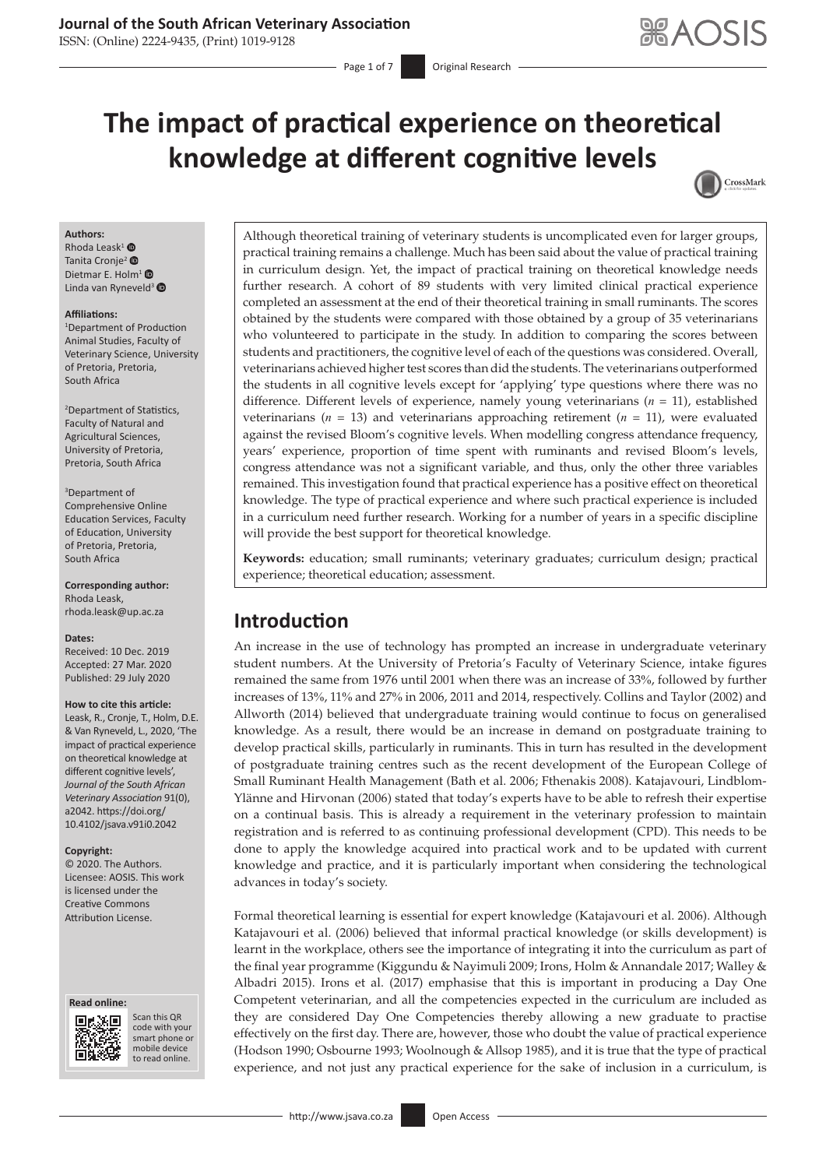### **Journal of the South African Veterinary Association**

ISSN: (Online) 2224-9435, (Print) 1019-9128

# **The impact of practical experience on theoretical knowledge at different cognitive levels**



#### **Authors:**

Rhoda Leask<sup>[1](https://orcid.org/0000-0003-3373-0096)</sup> $\bullet$ Tanita Cronje<sup>2</sup> Dietmar E. Holm<sup>[1](https://orcid.org/0000-0002-9340-6573)</sup> Linda van Ryneveld<sup>[3](https://orcid.org/0000-0002-9909-9949)</sup>

#### **Affiliations:**

1 Department of Production Animal Studies, Faculty of Veterinary Science, University of Pretoria, Pretoria, South Africa

2 Department of Statistics, Faculty of Natural and Agricultural Sciences, University of Pretoria, Pretoria, South Africa

#### 3 Department of Comprehensive Online Education Services, Faculty of Education, University of Pretoria, Pretoria, South Africa

**Corresponding author:** Rhoda Leask, [rhoda.leask@up.ac.za](mailto:rhoda.leask@up.ac.za)

#### **Dates:**

Received: 10 Dec. 2019 Accepted: 27 Mar. 2020 Published: 29 July 2020

#### **How to cite this article:**

Leask, R., Cronje, T., Holm, D.E. & Van Ryneveld, L., 2020, 'The impact of practical experience on theoretical knowledge at different cognitive levels', *Journal of the South African Veterinary Association* 91(0), a2042. [https://doi.org/](https://doi.org/10.4102/jsava.v91i0.2042) [10.4102/jsava.v91i0.2042](https://doi.org/10.4102/jsava.v91i0.2042)

#### **Copyright:**

© 2020. The Authors. Licensee: AOSIS. This work is licensed under the Creative Commons Attribution License.





Scan this QR code with your Scan this QR<br>code with your<br>smart phone or<br>mobile device mobile device to read online. to read online.

Although theoretical training of veterinary students is uncomplicated even for larger groups, practical training remains a challenge. Much has been said about the value of practical training in curriculum design. Yet, the impact of practical training on theoretical knowledge needs further research. A cohort of 89 students with very limited clinical practical experience completed an assessment at the end of their theoretical training in small ruminants. The scores obtained by the students were compared with those obtained by a group of 35 veterinarians who volunteered to participate in the study. In addition to comparing the scores between students and practitioners, the cognitive level of each of the questions was considered. Overall, veterinarians achieved higher test scores than did the students. The veterinarians outperformed the students in all cognitive levels except for 'applying' type questions where there was no difference. Different levels of experience, namely young veterinarians (*n* = 11), established veterinarians ( $n = 13$ ) and veterinarians approaching retirement ( $n = 11$ ), were evaluated against the revised Bloom's cognitive levels. When modelling congress attendance frequency, years' experience, proportion of time spent with ruminants and revised Bloom's levels, congress attendance was not a significant variable, and thus, only the other three variables remained. This investigation found that practical experience has a positive effect on theoretical knowledge. The type of practical experience and where such practical experience is included in a curriculum need further research. Working for a number of years in a specific discipline will provide the best support for theoretical knowledge.

**Keywords:** education; small ruminants; veterinary graduates; curriculum design; practical experience; theoretical education; assessment.

# **Introduction**

An increase in the use of technology has prompted an increase in undergraduate veterinary student numbers. At the University of Pretoria's Faculty of Veterinary Science, intake figures remained the same from 1976 until 2001 when there was an increase of 33%, followed by further increases of 13%, 11% and 27% in 2006, 2011 and 2014, respectively. Collins and Taylor (2002) and Allworth (2014) believed that undergraduate training would continue to focus on generalised knowledge. As a result, there would be an increase in demand on postgraduate training to develop practical skills, particularly in ruminants. This in turn has resulted in the development of postgraduate training centres such as the recent development of the European College of Small Ruminant Health Management (Bath et al. 2006; Fthenakis 2008). Katajavouri, Lindblom-Ylänne and Hirvonan (2006) stated that today's experts have to be able to refresh their expertise on a continual basis. This is already a requirement in the veterinary profession to maintain registration and is referred to as continuing professional development (CPD). This needs to be done to apply the knowledge acquired into practical work and to be updated with current knowledge and practice, and it is particularly important when considering the technological advances in today's society.

Formal theoretical learning is essential for expert knowledge (Katajavouri et al. 2006). Although Katajavouri et al. (2006) believed that informal practical knowledge (or skills development) is learnt in the workplace, others see the importance of integrating it into the curriculum as part of the final year programme (Kiggundu & Nayimuli 2009; Irons, Holm & Annandale 2017; Walley & Albadri 2015). Irons et al. (2017) emphasise that this is important in producing a Day One Competent veterinarian, and all the competencies expected in the curriculum are included as they are considered Day One Competencies thereby allowing a new graduate to practise effectively on the first day. There are, however, those who doubt the value of practical experience (Hodson 1990; Osbourne 1993; Woolnough & Allsop 1985), and it is true that the type of practical experience, and not just any practical experience for the sake of inclusion in a curriculum, is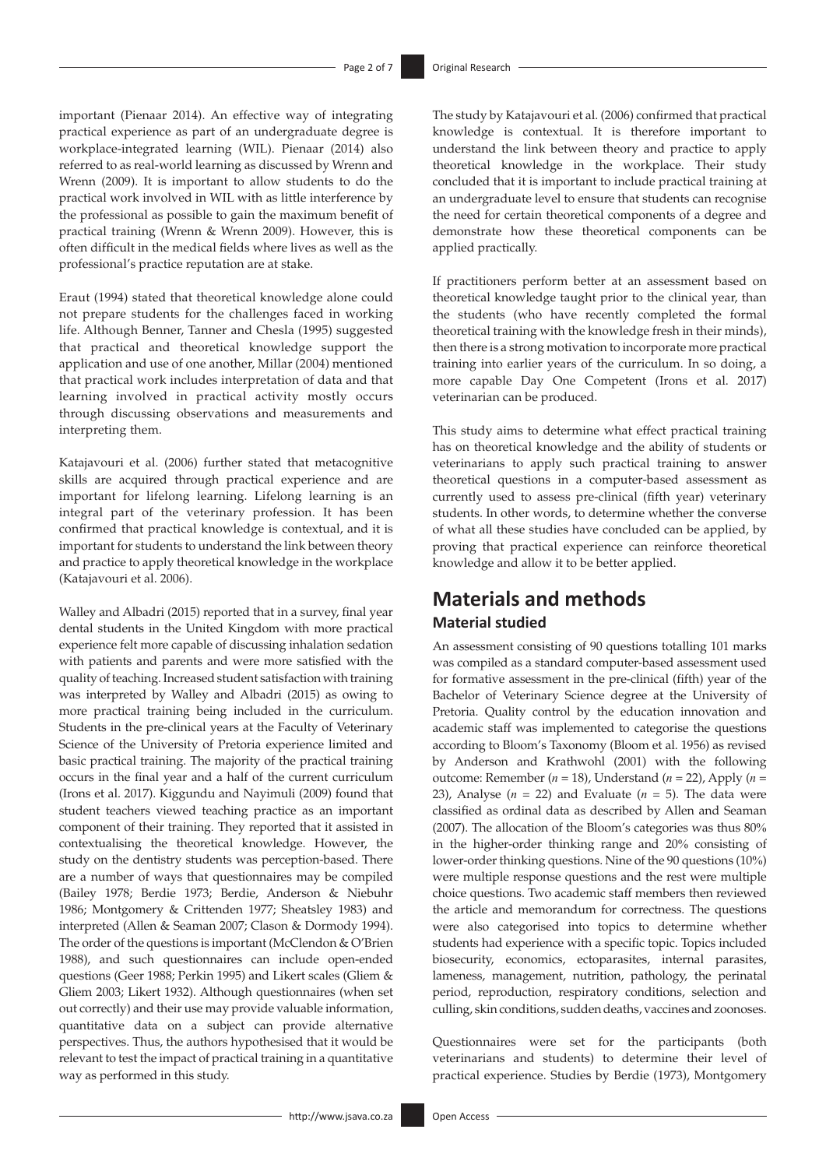important (Pienaar 2014). An effective way of integrating practical experience as part of an undergraduate degree is workplace-integrated learning (WIL). Pienaar (2014) also referred to as real-world learning as discussed by Wrenn and Wrenn (2009). It is important to allow students to do the practical work involved in WIL with as little interference by the professional as possible to gain the maximum benefit of practical training (Wrenn & Wrenn 2009). However, this is often difficult in the medical fields where lives as well as the professional's practice reputation are at stake.

Eraut (1994) stated that theoretical knowledge alone could not prepare students for the challenges faced in working life. Although Benner, Tanner and Chesla (1995) suggested that practical and theoretical knowledge support the application and use of one another, Millar (2004) mentioned that practical work includes interpretation of data and that learning involved in practical activity mostly occurs through discussing observations and measurements and interpreting them.

Katajavouri et al. (2006) further stated that metacognitive skills are acquired through practical experience and are important for lifelong learning. Lifelong learning is an integral part of the veterinary profession. It has been confirmed that practical knowledge is contextual, and it is important for students to understand the link between theory and practice to apply theoretical knowledge in the workplace (Katajavouri et al. 2006).

Walley and Albadri (2015) reported that in a survey, final year dental students in the United Kingdom with more practical experience felt more capable of discussing inhalation sedation with patients and parents and were more satisfied with the quality of teaching. Increased student satisfaction with training was interpreted by Walley and Albadri (2015) as owing to more practical training being included in the curriculum. Students in the pre-clinical years at the Faculty of Veterinary Science of the University of Pretoria experience limited and basic practical training. The majority of the practical training occurs in the final year and a half of the current curriculum (Irons et al. 2017). Kiggundu and Nayimuli (2009) found that student teachers viewed teaching practice as an important component of their training. They reported that it assisted in contextualising the theoretical knowledge. However, the study on the dentistry students was perception-based. There are a number of ways that questionnaires may be compiled (Bailey 1978; Berdie 1973; Berdie, Anderson & Niebuhr 1986; Montgomery & Crittenden 1977; Sheatsley 1983) and interpreted (Allen & Seaman 2007; Clason & Dormody 1994). The order of the questions is important (McClendon & O'Brien 1988), and such questionnaires can include open-ended questions (Geer 1988; Perkin 1995) and Likert scales (Gliem & Gliem 2003; Likert 1932). Although questionnaires (when set out correctly) and their use may provide valuable information, quantitative data on a subject can provide alternative perspectives. Thus, the authors hypothesised that it would be relevant to test the impact of practical training in a quantitative way as performed in this study.

The study by Katajavouri et al. (2006) confirmed that practical knowledge is contextual. It is therefore important to understand the link between theory and practice to apply theoretical knowledge in the workplace. Their study concluded that it is important to include practical training at an undergraduate level to ensure that students can recognise the need for certain theoretical components of a degree and demonstrate how these theoretical components can be applied practically.

If practitioners perform better at an assessment based on theoretical knowledge taught prior to the clinical year, than the students (who have recently completed the formal theoretical training with the knowledge fresh in their minds), then there is a strong motivation to incorporate more practical training into earlier years of the curriculum. In so doing, a more capable Day One Competent (Irons et al. 2017) veterinarian can be produced.

This study aims to determine what effect practical training has on theoretical knowledge and the ability of students or veterinarians to apply such practical training to answer theoretical questions in a computer-based assessment as currently used to assess pre-clinical (fifth year) veterinary students. In other words, to determine whether the converse of what all these studies have concluded can be applied, by proving that practical experience can reinforce theoretical knowledge and allow it to be better applied.

# **Materials and methods Material studied**

An assessment consisting of 90 questions totalling 101 marks was compiled as a standard computer-based assessment used for formative assessment in the pre-clinical (fifth) year of the Bachelor of Veterinary Science degree at the University of Pretoria. Quality control by the education innovation and academic staff was implemented to categorise the questions according to Bloom's Taxonomy (Bloom et al. 1956) as revised by Anderson and Krathwohl (2001) with the following outcome: Remember (*n* = 18), Understand (*n* = 22), Apply (*n* = 23), Analyse  $(n = 22)$  and Evaluate  $(n = 5)$ . The data were classified as ordinal data as described by Allen and Seaman (2007). The allocation of the Bloom's categories was thus 80% in the higher-order thinking range and 20% consisting of lower-order thinking questions. Nine of the 90 questions (10%) were multiple response questions and the rest were multiple choice questions. Two academic staff members then reviewed the article and memorandum for correctness. The questions were also categorised into topics to determine whether students had experience with a specific topic. Topics included biosecurity, economics, ectoparasites, internal parasites, lameness, management, nutrition, pathology, the perinatal period, reproduction, respiratory conditions, selection and culling, skin conditions, sudden deaths, vaccines and zoonoses.

Questionnaires were set for the participants (both veterinarians and students) to determine their level of practical experience. Studies by Berdie (1973), Montgomery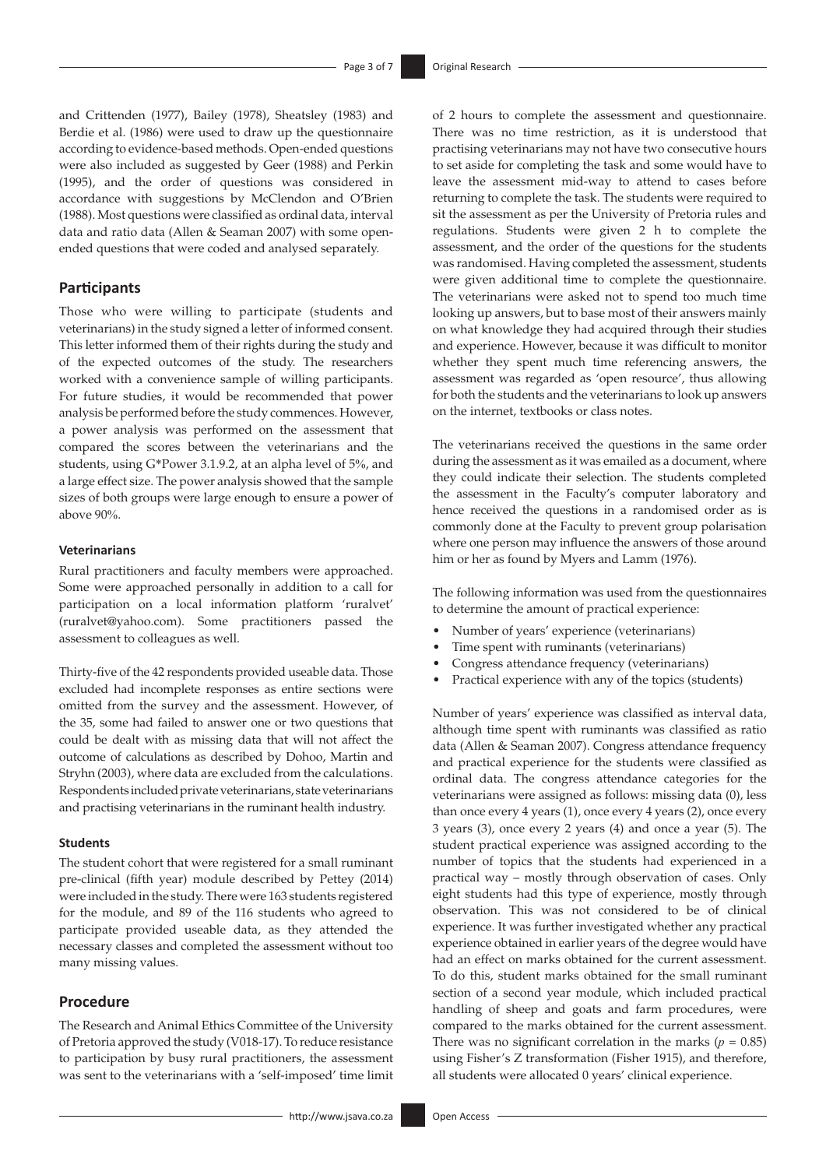and Crittenden (1977), Bailey (1978), Sheatsley (1983) and Berdie et al. (1986) were used to draw up the questionnaire according to evidence-based methods. Open-ended questions were also included as suggested by Geer (1988) and Perkin (1995), and the order of questions was considered in accordance with suggestions by McClendon and O'Brien (1988). Most questions were classified as ordinal data, interval data and ratio data (Allen & Seaman 2007) with some openended questions that were coded and analysed separately.

### **Participants**

Those who were willing to participate (students and veterinarians) in the study signed a letter of informed consent. This letter informed them of their rights during the study and of the expected outcomes of the study. The researchers worked with a convenience sample of willing participants. For future studies, it would be recommended that power analysis be performed before the study commences. However, a power analysis was performed on the assessment that compared the scores between the veterinarians and the students, using G\*Power 3.1.9.2, at an alpha level of 5%, and a large effect size. The power analysis showed that the sample sizes of both groups were large enough to ensure a power of above 90%.

#### **Veterinarians**

Rural practitioners and faculty members were approached. Some were approached personally in addition to a call for participation on a local information platform 'ruralvet' ([ruralvet@yahoo.com\)](mailto:ruralvet@yahoo.com). Some practitioners passed the assessment to colleagues as well.

Thirty-five of the 42 respondents provided useable data. Those excluded had incomplete responses as entire sections were omitted from the survey and the assessment. However, of the 35, some had failed to answer one or two questions that could be dealt with as missing data that will not affect the outcome of calculations as described by Dohoo, Martin and Stryhn (2003), where data are excluded from the calculations. Respondents included private veterinarians, state veterinarians and practising veterinarians in the ruminant health industry.

#### **Students**

The student cohort that were registered for a small ruminant pre-clinical (fifth year) module described by Pettey (2014) were included in the study. There were 163 students registered for the module, and 89 of the 116 students who agreed to participate provided useable data, as they attended the necessary classes and completed the assessment without too many missing values.

#### **Procedure**

The Research and Animal Ethics Committee of the University of Pretoria approved the study (V018-17). To reduce resistance to participation by busy rural practitioners, the assessment was sent to the veterinarians with a 'self-imposed' time limit

of 2 hours to complete the assessment and questionnaire. There was no time restriction, as it is understood that practising veterinarians may not have two consecutive hours to set aside for completing the task and some would have to leave the assessment mid-way to attend to cases before returning to complete the task. The students were required to sit the assessment as per the University of Pretoria rules and regulations. Students were given 2 h to complete the assessment, and the order of the questions for the students was randomised. Having completed the assessment, students were given additional time to complete the questionnaire. The veterinarians were asked not to spend too much time looking up answers, but to base most of their answers mainly on what knowledge they had acquired through their studies and experience. However, because it was difficult to monitor whether they spent much time referencing answers, the assessment was regarded as 'open resource', thus allowing for both the students and the veterinarians to look up answers on the internet, textbooks or class notes.

The veterinarians received the questions in the same order during the assessment as it was emailed as a document, where they could indicate their selection. The students completed the assessment in the Faculty's computer laboratory and hence received the questions in a randomised order as is commonly done at the Faculty to prevent group polarisation where one person may influence the answers of those around him or her as found by Myers and Lamm (1976).

The following information was used from the questionnaires to determine the amount of practical experience:

- Number of years' experience (veterinarians)
- Time spent with ruminants (veterinarians)
- Congress attendance frequency (veterinarians)
- Practical experience with any of the topics (students)

Number of years' experience was classified as interval data, although time spent with ruminants was classified as ratio data (Allen & Seaman 2007). Congress attendance frequency and practical experience for the students were classified as ordinal data. The congress attendance categories for the veterinarians were assigned as follows: missing data (0), less than once every 4 years (1), once every 4 years (2), once every 3 years (3), once every 2 years (4) and once a year (5). The student practical experience was assigned according to the number of topics that the students had experienced in a practical way – mostly through observation of cases. Only eight students had this type of experience, mostly through observation. This was not considered to be of clinical experience. It was further investigated whether any practical experience obtained in earlier years of the degree would have had an effect on marks obtained for the current assessment. To do this, student marks obtained for the small ruminant section of a second year module, which included practical handling of sheep and goats and farm procedures, were compared to the marks obtained for the current assessment. There was no significant correlation in the marks ( $p = 0.85$ ) using Fisher's Z transformation (Fisher 1915), and therefore, all students were allocated 0 years' clinical experience.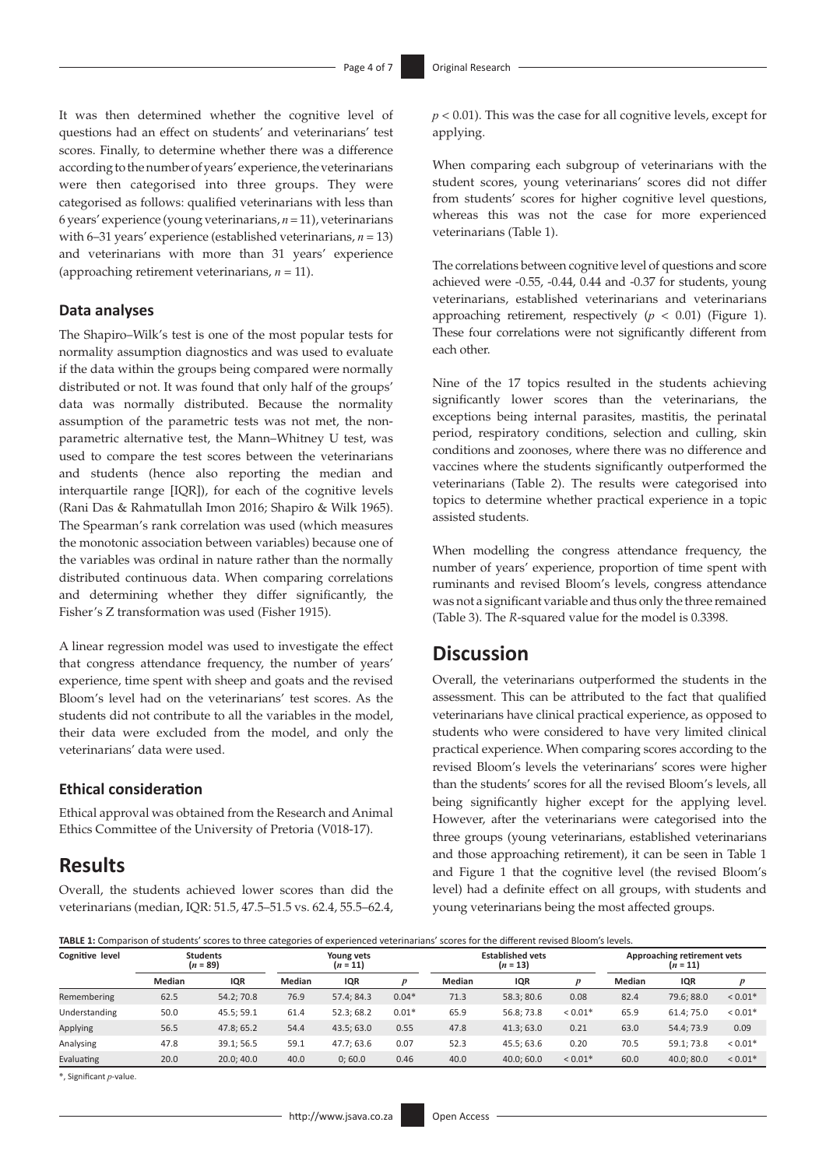It was then determined whether the cognitive level of questions had an effect on students' and veterinarians' test scores. Finally, to determine whether there was a difference according to the number of years' experience, the veterinarians were then categorised into three groups. They were categorised as follows: qualified veterinarians with less than 6 years' experience (young veterinarians, *n* = 11), veterinarians with 6–31 years' experience (established veterinarians, *n* = 13) and veterinarians with more than 31 years' experience (approaching retirement veterinarians, *n* = 11).

### **Data analyses**

The Shapiro–Wilk's test is one of the most popular tests for normality assumption diagnostics and was used to evaluate if the data within the groups being compared were normally distributed or not. It was found that only half of the groups' data was normally distributed. Because the normality assumption of the parametric tests was not met, the nonparametric alternative test, the Mann–Whitney U test, was used to compare the test scores between the veterinarians and students (hence also reporting the median and interquartile range [IQR]), for each of the cognitive levels (Rani Das & Rahmatullah Imon 2016; Shapiro & Wilk 1965). The Spearman's rank correlation was used (which measures the monotonic association between variables) because one of the variables was ordinal in nature rather than the normally distributed continuous data. When comparing correlations and determining whether they differ significantly, the Fisher's Z transformation was used (Fisher 1915).

A linear regression model was used to investigate the effect that congress attendance frequency, the number of years' experience, time spent with sheep and goats and the revised Bloom's level had on the veterinarians' test scores. As the students did not contribute to all the variables in the model, their data were excluded from the model, and only the veterinarians' data were used.

### **Ethical consideration**

Ethical approval was obtained from the Research and Animal Ethics Committee of the University of Pretoria (V018-17).

# **Results**

Overall, the students achieved lower scores than did the veterinarians (median, IQR: 51.5, 47.5–51.5 vs. 62.4, 55.5–62.4, *p* < 0.01). This was the case for all cognitive levels, except for applying.

When comparing each subgroup of veterinarians with the student scores, young veterinarians' scores did not differ from students' scores for higher cognitive level questions, whereas this was not the case for more experienced veterinarians (Table 1).

The correlations between cognitive level of questions and score achieved were -0.55, -0.44, 0.44 and -0.37 for students, young veterinarians, established veterinarians and veterinarians approaching retirement, respectively  $(p < 0.01)$  (Figure 1). These four correlations were not significantly different from each other.

Nine of the 17 topics resulted in the students achieving significantly lower scores than the veterinarians, the exceptions being internal parasites, mastitis, the perinatal period, respiratory conditions, selection and culling, skin conditions and zoonoses, where there was no difference and vaccines where the students significantly outperformed the veterinarians (Table 2). The results were categorised into topics to determine whether practical experience in a topic assisted students.

When modelling the congress attendance frequency, the number of years' experience, proportion of time spent with ruminants and revised Bloom's levels, congress attendance was not a significant variable and thus only the three remained (Table 3). The *R*-squared value for the model is 0.3398.

# **Discussion**

Overall, the veterinarians outperformed the students in the assessment. This can be attributed to the fact that qualified veterinarians have clinical practical experience, as opposed to students who were considered to have very limited clinical practical experience. When comparing scores according to the revised Bloom's levels the veterinarians' scores were higher than the students' scores for all the revised Bloom's levels, all being significantly higher except for the applying level. However, after the veterinarians were categorised into the three groups (young veterinarians, established veterinarians and those approaching retirement), it can be seen in Table 1 and Figure 1 that the cognitive level (the revised Bloom's level) had a definite effect on all groups, with students and young veterinarians being the most affected groups.

**TABLE 1:** Comparison of students' scores to three categories of experienced veterinarians' scores for the different revised Bloom's levels.

| Cognitive level | <b>Students</b><br>$(n = 89)$ |            | Young vets<br>$(n = 11)$ |           | <b>Established vets</b><br>$(n = 13)$ |               |            | Approaching retirement vets<br>$(n = 11)$ |        |            |                  |
|-----------------|-------------------------------|------------|--------------------------|-----------|---------------------------------------|---------------|------------|-------------------------------------------|--------|------------|------------------|
|                 | Median                        | IQR        | Median                   | IQR       |                                       | <b>Median</b> | IQR        |                                           | Median | IQR        | $\boldsymbol{p}$ |
| Remembering     | 62.5                          | 54.2:70.8  | 76.9                     | 57.4:84.3 | $0.04*$                               | 71.3          | 58.3:80.6  | 0.08                                      | 82.4   | 79.6:88.0  | ${}< 0.01*$      |
| Understanding   | 50.0                          | 45.5; 59.1 | 61.4                     | 52.3:68.2 | $0.01*$                               | 65.9          | 56.8; 73.8 | $< 0.01*$                                 | 65.9   | 61.4; 75.0 | ${}< 0.01*$      |
| <b>Applying</b> | 56.5                          | 47.8:65.2  | 54.4                     | 43.5:63.0 | 0.55                                  | 47.8          | 41.3:63.0  | 0.21                                      | 63.0   | 54.4:73.9  | 0.09             |
| Analysing       | 47.8                          | 39.1:56.5  | 59.1                     | 47.7:63.6 | 0.07                                  | 52.3          | 45.5: 63.6 | 0.20                                      | 70.5   | 59.1; 73.8 | ${}< 0.01*$      |
| Evaluating      | 20.0                          | 20.0:40.0  | 40.0                     | 0;60.0    | 0.46                                  | 40.0          | 40.0:60.0  | $< 0.01*$                                 | 60.0   | 40.0:80.0  | ${}< 0.01*$      |

\*, Significant *p*-value.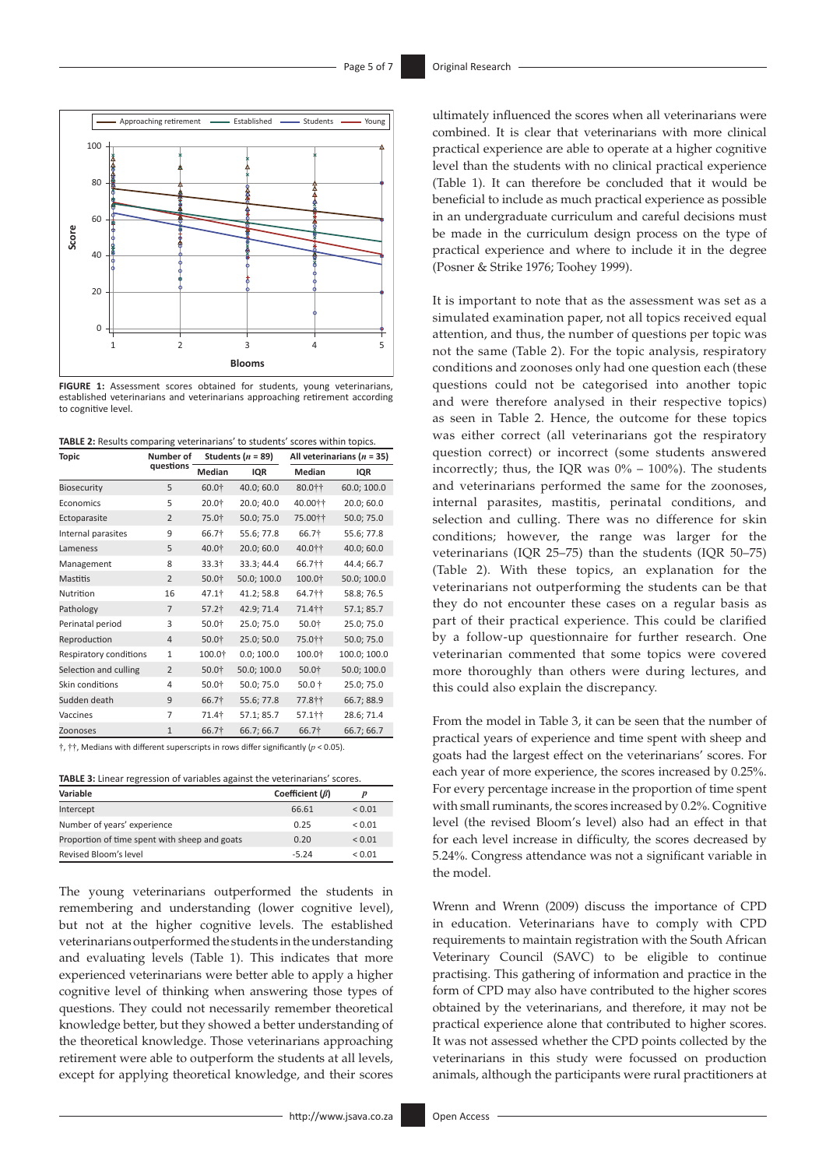

**FIGURE 1:** Assessment scores obtained for students, young veterinarians, established veterinarians and veterinarians approaching retirement according to cognitive level.



| Topic                  | Number of      |                   | Students ( $n = 89$ ) | All veterinarians ( $n = 35$ ) |              |  |
|------------------------|----------------|-------------------|-----------------------|--------------------------------|--------------|--|
|                        | questions      | Median            | IQR                   | Median                         | IQR          |  |
| <b>Biosecurity</b>     | 5              | 60.0†             | 40.0; 60.0            | 80.0††                         | 60.0; 100.0  |  |
| Economics              | 5              | 20.0†             | 20.0; 40.0            | 40.00††                        | 20.0; 60.0   |  |
| Ectoparasite           | $\overline{2}$ | 75.0†             | 50.0; 75.0            | 75.00 **                       | 50.0; 75.0   |  |
| Internal parasites     | 9              | 66.7†             | 55.6; 77.8            | 66.7†                          | 55.6; 77.8   |  |
| Lameness               | 5              | 40.0†             | 20.0; 60.0            | 40.011                         | 40.0; 60.0   |  |
| Management             | 8              | 33.3†             | 33.3; 44.4            | 66.7††                         | 44.4; 66.7   |  |
| <b>Mastitis</b>        | $\overline{2}$ | 50.0†             | 50.0; 100.0           | 100.0†                         | 50.0; 100.0  |  |
| Nutrition              | 16             | 47.1†             | 41.2; 58.8            | 64.7††                         | 58.8; 76.5   |  |
| Pathology              | $\overline{7}$ | 57.2 <sup>†</sup> | 42.9; 71.4            | 71.411                         | 57.1; 85.7   |  |
| Perinatal period       | 3              | 50.0†             | 25.0; 75.0            | 50.0†                          | 25.0; 75.0   |  |
| Reproduction           | $\overline{4}$ | 50.0†             | 25.0; 50.0            | 75.0††                         | 50.0; 75.0   |  |
| Respiratory conditions | $\mathbf{1}$   | 100.0†            | 0.0; 100.0            | 100.0†                         | 100.0; 100.0 |  |
| Selection and culling  | $\overline{2}$ | 50.0†             | 50.0; 100.0           | 50.0†                          | 50.0; 100.0  |  |
| Skin conditions        | 4              | 50.0 <sup>†</sup> | 50.0; 75.0            | 50.0 †                         | 25.0; 75.0   |  |
| Sudden death           | 9              | 66.7†             | 55.6; 77.8            | 77.8††                         | 66.7; 88.9   |  |
| Vaccines               | 7              | 71.4†             | 57.1; 85.7            | 57.1††                         | 28.6; 71.4   |  |
| Zoonoses               | $\mathbf{1}$   | 66.7†             | 66.7; 66.7            | 66.7†                          | 66.7; 66.7   |  |

†, ††, Medians with different superscripts in rows differ significantly (*p* < 0.05).

| <b>TABLE 3:</b> Linear regression of variables against the veterinarians' scores. |  |  |
|-----------------------------------------------------------------------------------|--|--|
|                                                                                   |  |  |

| Variable                                      | Coefficient $(\beta)$ | D           |
|-----------------------------------------------|-----------------------|-------------|
| Intercept                                     | 66.61                 | ${}_{0.01}$ |
| Number of years' experience                   | 0.25                  | ${}_{0.01}$ |
| Proportion of time spent with sheep and goats | 0.20                  | ${}_{0.01}$ |
| Revised Bloom's level                         | $-5.24$               | ${}_{0.01}$ |

The young veterinarians outperformed the students in remembering and understanding (lower cognitive level), but not at the higher cognitive levels. The established veterinarians outperformed the students in the understanding and evaluating levels (Table 1). This indicates that more experienced veterinarians were better able to apply a higher cognitive level of thinking when answering those types of questions. They could not necessarily remember theoretical knowledge better, but they showed a better understanding of the theoretical knowledge. Those veterinarians approaching retirement were able to outperform the students at all levels, except for applying theoretical knowledge, and their scores

ultimately influenced the scores when all veterinarians were combined. It is clear that veterinarians with more clinical practical experience are able to operate at a higher cognitive level than the students with no clinical practical experience (Table 1). It can therefore be concluded that it would be beneficial to include as much practical experience as possible in an undergraduate curriculum and careful decisions must be made in the curriculum design process on the type of practical experience and where to include it in the degree (Posner & Strike 1976; Toohey 1999).

It is important to note that as the assessment was set as a simulated examination paper, not all topics received equal attention, and thus, the number of questions per topic was not the same (Table 2). For the topic analysis, respiratory conditions and zoonoses only had one question each (these questions could not be categorised into another topic and were therefore analysed in their respective topics) as seen in Table 2. Hence, the outcome for these topics was either correct (all veterinarians got the respiratory question correct) or incorrect (some students answered incorrectly; thus, the IQR was  $0\%$  – 100%). The students and veterinarians performed the same for the zoonoses, internal parasites, mastitis, perinatal conditions, and selection and culling. There was no difference for skin conditions; however, the range was larger for the veterinarians (IQR 25–75) than the students (IQR 50–75) (Table 2). With these topics, an explanation for the veterinarians not outperforming the students can be that they do not encounter these cases on a regular basis as part of their practical experience. This could be clarified by a follow-up questionnaire for further research. One veterinarian commented that some topics were covered more thoroughly than others were during lectures, and this could also explain the discrepancy.

From the model in Table 3, it can be seen that the number of practical years of experience and time spent with sheep and goats had the largest effect on the veterinarians' scores. For each year of more experience, the scores increased by 0.25%. For every percentage increase in the proportion of time spent with small ruminants, the scores increased by 0.2%. Cognitive level (the revised Bloom's level) also had an effect in that for each level increase in difficulty, the scores decreased by 5.24%. Congress attendance was not a significant variable in the model.

Wrenn and Wrenn (2009) discuss the importance of CPD in education. Veterinarians have to comply with CPD requirements to maintain registration with the South African Veterinary Council (SAVC) to be eligible to continue practising. This gathering of information and practice in the form of CPD may also have contributed to the higher scores obtained by the veterinarians, and therefore, it may not be practical experience alone that contributed to higher scores. It was not assessed whether the CPD points collected by the veterinarians in this study were focussed on production animals, although the participants were rural practitioners at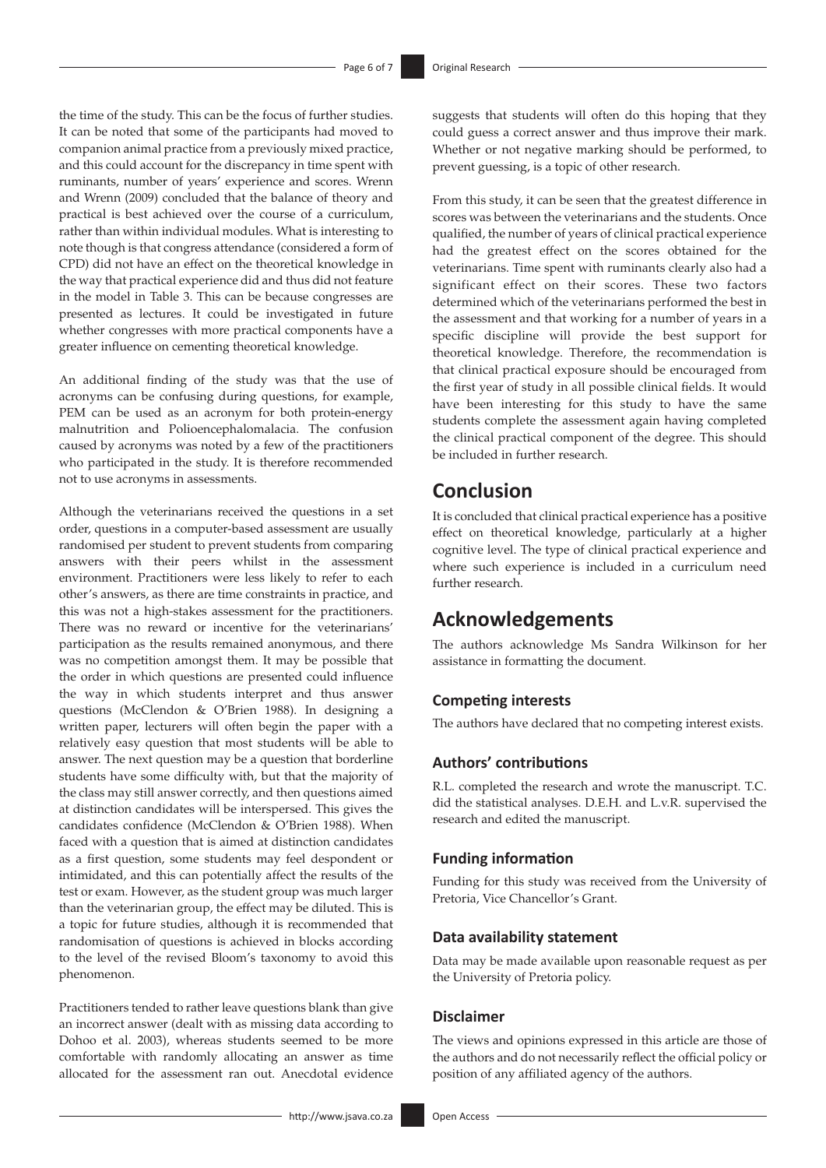the time of the study. This can be the focus of further studies. It can be noted that some of the participants had moved to companion animal practice from a previously mixed practice, and this could account for the discrepancy in time spent with ruminants, number of years' experience and scores. Wrenn and Wrenn (2009) concluded that the balance of theory and practical is best achieved over the course of a curriculum, rather than within individual modules. What is interesting to note though is that congress attendance (considered a form of CPD) did not have an effect on the theoretical knowledge in the way that practical experience did and thus did not feature in the model in Table 3. This can be because congresses are presented as lectures. It could be investigated in future whether congresses with more practical components have a greater influence on cementing theoretical knowledge.

An additional finding of the study was that the use of acronyms can be confusing during questions, for example, PEM can be used as an acronym for both protein-energy malnutrition and Polioencephalomalacia. The confusion caused by acronyms was noted by a few of the practitioners who participated in the study. It is therefore recommended not to use acronyms in assessments.

Although the veterinarians received the questions in a set order, questions in a computer-based assessment are usually randomised per student to prevent students from comparing answers with their peers whilst in the assessment environment. Practitioners were less likely to refer to each other's answers, as there are time constraints in practice, and this was not a high-stakes assessment for the practitioners. There was no reward or incentive for the veterinarians' participation as the results remained anonymous, and there was no competition amongst them. It may be possible that the order in which questions are presented could influence the way in which students interpret and thus answer questions (McClendon & O'Brien 1988). In designing a written paper, lecturers will often begin the paper with a relatively easy question that most students will be able to answer. The next question may be a question that borderline students have some difficulty with, but that the majority of the class may still answer correctly, and then questions aimed at distinction candidates will be interspersed. This gives the candidates confidence (McClendon & O'Brien 1988). When faced with a question that is aimed at distinction candidates as a first question, some students may feel despondent or intimidated, and this can potentially affect the results of the test or exam. However, as the student group was much larger than the veterinarian group, the effect may be diluted. This is a topic for future studies, although it is recommended that randomisation of questions is achieved in blocks according to the level of the revised Bloom's taxonomy to avoid this phenomenon.

Practitioners tended to rather leave questions blank than give an incorrect answer (dealt with as missing data according to Dohoo et al. 2003), whereas students seemed to be more comfortable with randomly allocating an answer as time allocated for the assessment ran out. Anecdotal evidence suggests that students will often do this hoping that they could guess a correct answer and thus improve their mark. Whether or not negative marking should be performed, to prevent guessing, is a topic of other research.

From this study, it can be seen that the greatest difference in scores was between the veterinarians and the students. Once qualified, the number of years of clinical practical experience had the greatest effect on the scores obtained for the veterinarians. Time spent with ruminants clearly also had a significant effect on their scores. These two factors determined which of the veterinarians performed the best in the assessment and that working for a number of years in a specific discipline will provide the best support for theoretical knowledge. Therefore, the recommendation is that clinical practical exposure should be encouraged from the first year of study in all possible clinical fields. It would have been interesting for this study to have the same students complete the assessment again having completed the clinical practical component of the degree. This should be included in further research.

# **Conclusion**

It is concluded that clinical practical experience has a positive effect on theoretical knowledge, particularly at a higher cognitive level. The type of clinical practical experience and where such experience is included in a curriculum need further research.

# **Acknowledgements**

The authors acknowledge Ms Sandra Wilkinson for her assistance in formatting the document.

### **Competing interests**

The authors have declared that no competing interest exists.

### **Authors' contributions**

R.L. completed the research and wrote the manuscript. T.C. did the statistical analyses. D.E.H. and L.v.R. supervised the research and edited the manuscript.

### **Funding information**

Funding for this study was received from the University of Pretoria, Vice Chancellor's Grant.

### **Data availability statement**

Data may be made available upon reasonable request as per the University of Pretoria policy.

#### **Disclaimer**

The views and opinions expressed in this article are those of the authors and do not necessarily reflect the official policy or position of any affiliated agency of the authors.